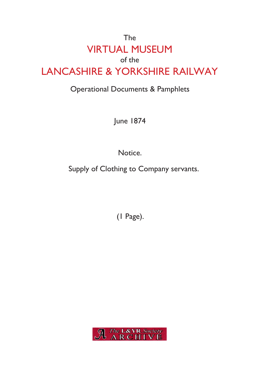## The VIRTUAL MUSEUM of the LANCASHIRE & YORKSHIRE RAILWAY

## Operational Documents & Pamphlets

June 1874

Notice.

Supply of Clothing to Company servants.

(1 Page).